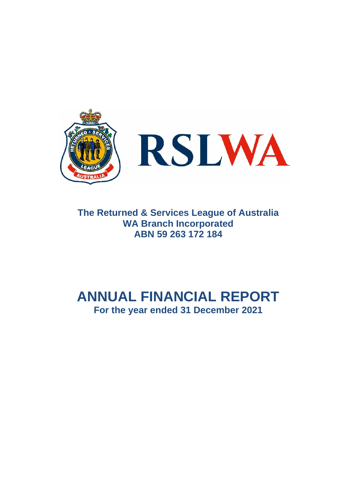

**The Returned & Services League of Australia WA Branch Incorporated ABN 59 263 172 184** 

# **ANNUAL FINANCIAL REPORT For the year ended 31 December 2021**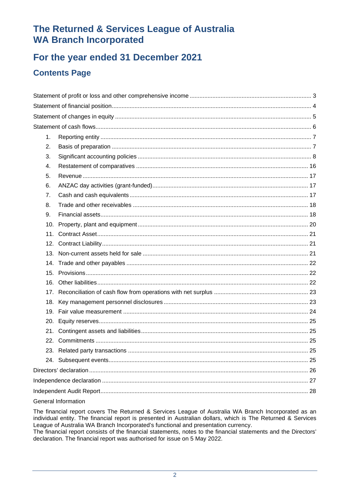# For the year ended 31 December 2021

# **Contents Page**

| 1.  |                          |  |
|-----|--------------------------|--|
| 2.  |                          |  |
| 3.  |                          |  |
| 4.  |                          |  |
| 5.  |                          |  |
| 6.  |                          |  |
| 7.  |                          |  |
| 8.  |                          |  |
| 9.  |                          |  |
| 10. |                          |  |
|     |                          |  |
|     |                          |  |
|     |                          |  |
|     |                          |  |
|     |                          |  |
|     |                          |  |
|     |                          |  |
|     |                          |  |
|     |                          |  |
|     |                          |  |
|     |                          |  |
|     |                          |  |
|     |                          |  |
|     |                          |  |
|     |                          |  |
|     |                          |  |
|     |                          |  |
|     | $O$ an anal lufano ation |  |

### General Information

The financial report covers The Returned & Services League of Australia WA Branch Incorporated as an individual entity. The financial report is presented in Australian dollars, which is The Returned & Services League of Australia WA Branch Incorporated's functional and presentation currency.

The financial report consists of the financial statements, notes to the financial statements and the Directors' declaration. The financial report was authorised for issue on 5 May 2022.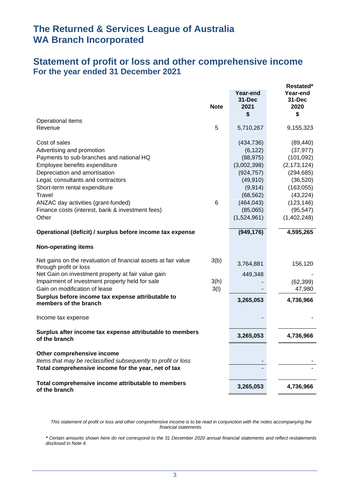# **Statement of profit or loss and other comprehensive income For the year ended 31 December 2021**

|                                                                                          |             |                                | Restated*                  |
|------------------------------------------------------------------------------------------|-------------|--------------------------------|----------------------------|
|                                                                                          | <b>Note</b> | Year-end<br>$31 - Dec$<br>2021 | Year-end<br>31-Dec<br>2020 |
|                                                                                          |             | \$                             | \$                         |
| Operational items                                                                        |             |                                |                            |
| Revenue                                                                                  | 5           | 5,710,267                      | 9,155,323                  |
| Cost of sales                                                                            |             | (434, 736)                     | (89, 440)                  |
| Advertising and promotion                                                                |             | (6, 122)                       | (37, 977)                  |
| Payments to sub-branches and national HQ                                                 |             | (88, 975)                      | (101, 092)                 |
| Employee benefits expenditure                                                            |             | (3,002,398)                    | (2, 173, 124)              |
| Depreciation and amortisation                                                            |             | (924, 757)                     | (294, 685)                 |
| Legal, consultants and contractors                                                       |             | (49, 910)                      | (36, 520)                  |
| Short-term rental expenditure                                                            |             | (9, 914)                       | (163, 055)                 |
| Travel                                                                                   |             | (68, 562)                      | (43, 224)                  |
| ANZAC day activities (grant-funded)                                                      | 6           | (464, 043)                     | (123, 146)                 |
| Finance costs (interest, bank & investment fees)                                         |             | (85,065)                       | (95, 547)                  |
| Other                                                                                    |             | (1,524,961)                    | (1,402,248)                |
| Operational (deficit) / surplus before income tax expense                                |             | (949, 176)                     | 4,595,265                  |
| <b>Non-operating items</b>                                                               |             |                                |                            |
| Net gains on the revaluation of financial assets at fair value<br>through profit or loss | 3(b)        | 3,764,881                      | 156,120                    |
| Net Gain on investment property at fair value gain                                       |             | 449,348                        |                            |
| Impairment of investment property held for sale                                          | 3(h)        |                                | (62, 399)                  |
| Gain on modification of lease                                                            | 3(l)        |                                | 47,980                     |
| Surplus before income tax expense attributable to<br>members of the branch               |             | 3,265,053                      | 4,736,966                  |
|                                                                                          |             |                                |                            |
| Income tax expense                                                                       |             |                                |                            |
| Surplus after income tax expense attributable to members<br>of the branch                |             | 3,265,053                      | 4,736,966                  |
| Other comprehensive income                                                               |             |                                |                            |
| Items that may be reclassified subsequently to profit or loss                            |             |                                |                            |
| Total comprehensive income for the year, net of tax                                      |             |                                |                            |
| Total comprehensive income attributable to members<br>of the branch                      |             | 3,265,053                      | 4,736,966                  |

*This statement of profit or loss and other comprehensive income is to be read in conjunction with the notes accompanying the financial statements.*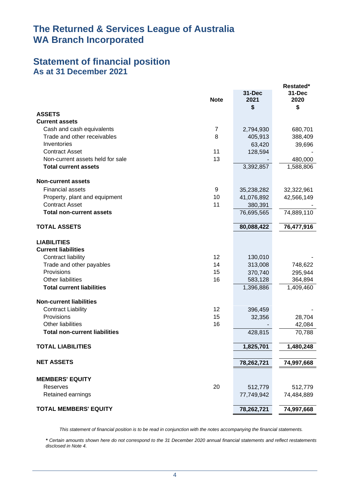## **Statement of financial position As at 31 December 2021**

| 31-Dec<br>31-Dec<br><b>Note</b><br>2021<br>2020<br>\$<br>\$<br><b>ASSETS</b><br><b>Current assets</b><br>Cash and cash equivalents<br>$\overline{7}$<br>2,794,930<br>680,701<br>8<br>Trade and other receivables<br>405,913<br>388,409<br>Inventories<br>63,420<br>39,696<br>11<br><b>Contract Asset</b><br>128,594<br>13<br>Non-current assets held for sale<br>480,000<br>1,588,806<br><b>Total current assets</b><br>3,392,857<br><b>Non-current assets</b><br><b>Financial assets</b><br>9<br>35,238,282<br>32,322,961<br>Property, plant and equipment<br>10<br>41,076,892<br>42,566,149<br><b>Contract Asset</b><br>11<br>380,391<br><b>Total non-current assets</b><br>76,695,565<br>74,889,110<br>80,088,422<br>76,477,916<br><b>TOTAL ASSETS</b><br><b>LIABILITIES</b><br><b>Current liabilities</b><br>Contract liability<br>12<br>130,010<br>14<br>Trade and other payables<br>313,008<br>748,622<br>Provisions<br>15<br>370,740<br>295,944<br>Other liabilities<br>16<br>583,128<br>364,894<br>1,396,886<br>1,409,460<br><b>Total current liabilities</b><br><b>Non-current liabilities</b><br>12<br><b>Contract Liability</b><br>396,459<br>Provisions<br>15<br>32,356<br>28,704<br>Other liabilities<br>16<br>42,084<br><b>Total non-current liabilities</b><br>428,815<br>70,788<br>1,825,701<br>1,480,248<br>TOTAL LIABILITIES<br><b>NET ASSETS</b><br>78,262,721<br>74,997,668<br><b>MEMBERS' EQUITY</b><br>20<br>Reserves<br>512,779<br>512,779<br>Retained earnings<br>77,749,942<br>74,484,889<br><b>TOTAL MEMBERS' EQUITY</b><br>78,262,721<br>74,997,668 |  | Restated* |
|--------------------------------------------------------------------------------------------------------------------------------------------------------------------------------------------------------------------------------------------------------------------------------------------------------------------------------------------------------------------------------------------------------------------------------------------------------------------------------------------------------------------------------------------------------------------------------------------------------------------------------------------------------------------------------------------------------------------------------------------------------------------------------------------------------------------------------------------------------------------------------------------------------------------------------------------------------------------------------------------------------------------------------------------------------------------------------------------------------------------------------------------------------------------------------------------------------------------------------------------------------------------------------------------------------------------------------------------------------------------------------------------------------------------------------------------------------------------------------------------------------------------------------------------------------------------------------|--|-----------|
|                                                                                                                                                                                                                                                                                                                                                                                                                                                                                                                                                                                                                                                                                                                                                                                                                                                                                                                                                                                                                                                                                                                                                                                                                                                                                                                                                                                                                                                                                                                                                                                |  |           |
|                                                                                                                                                                                                                                                                                                                                                                                                                                                                                                                                                                                                                                                                                                                                                                                                                                                                                                                                                                                                                                                                                                                                                                                                                                                                                                                                                                                                                                                                                                                                                                                |  |           |
|                                                                                                                                                                                                                                                                                                                                                                                                                                                                                                                                                                                                                                                                                                                                                                                                                                                                                                                                                                                                                                                                                                                                                                                                                                                                                                                                                                                                                                                                                                                                                                                |  |           |
|                                                                                                                                                                                                                                                                                                                                                                                                                                                                                                                                                                                                                                                                                                                                                                                                                                                                                                                                                                                                                                                                                                                                                                                                                                                                                                                                                                                                                                                                                                                                                                                |  |           |
|                                                                                                                                                                                                                                                                                                                                                                                                                                                                                                                                                                                                                                                                                                                                                                                                                                                                                                                                                                                                                                                                                                                                                                                                                                                                                                                                                                                                                                                                                                                                                                                |  |           |
|                                                                                                                                                                                                                                                                                                                                                                                                                                                                                                                                                                                                                                                                                                                                                                                                                                                                                                                                                                                                                                                                                                                                                                                                                                                                                                                                                                                                                                                                                                                                                                                |  |           |
|                                                                                                                                                                                                                                                                                                                                                                                                                                                                                                                                                                                                                                                                                                                                                                                                                                                                                                                                                                                                                                                                                                                                                                                                                                                                                                                                                                                                                                                                                                                                                                                |  |           |
|                                                                                                                                                                                                                                                                                                                                                                                                                                                                                                                                                                                                                                                                                                                                                                                                                                                                                                                                                                                                                                                                                                                                                                                                                                                                                                                                                                                                                                                                                                                                                                                |  |           |
|                                                                                                                                                                                                                                                                                                                                                                                                                                                                                                                                                                                                                                                                                                                                                                                                                                                                                                                                                                                                                                                                                                                                                                                                                                                                                                                                                                                                                                                                                                                                                                                |  |           |
|                                                                                                                                                                                                                                                                                                                                                                                                                                                                                                                                                                                                                                                                                                                                                                                                                                                                                                                                                                                                                                                                                                                                                                                                                                                                                                                                                                                                                                                                                                                                                                                |  |           |
|                                                                                                                                                                                                                                                                                                                                                                                                                                                                                                                                                                                                                                                                                                                                                                                                                                                                                                                                                                                                                                                                                                                                                                                                                                                                                                                                                                                                                                                                                                                                                                                |  |           |
|                                                                                                                                                                                                                                                                                                                                                                                                                                                                                                                                                                                                                                                                                                                                                                                                                                                                                                                                                                                                                                                                                                                                                                                                                                                                                                                                                                                                                                                                                                                                                                                |  |           |
|                                                                                                                                                                                                                                                                                                                                                                                                                                                                                                                                                                                                                                                                                                                                                                                                                                                                                                                                                                                                                                                                                                                                                                                                                                                                                                                                                                                                                                                                                                                                                                                |  |           |
|                                                                                                                                                                                                                                                                                                                                                                                                                                                                                                                                                                                                                                                                                                                                                                                                                                                                                                                                                                                                                                                                                                                                                                                                                                                                                                                                                                                                                                                                                                                                                                                |  |           |
|                                                                                                                                                                                                                                                                                                                                                                                                                                                                                                                                                                                                                                                                                                                                                                                                                                                                                                                                                                                                                                                                                                                                                                                                                                                                                                                                                                                                                                                                                                                                                                                |  |           |
|                                                                                                                                                                                                                                                                                                                                                                                                                                                                                                                                                                                                                                                                                                                                                                                                                                                                                                                                                                                                                                                                                                                                                                                                                                                                                                                                                                                                                                                                                                                                                                                |  |           |
|                                                                                                                                                                                                                                                                                                                                                                                                                                                                                                                                                                                                                                                                                                                                                                                                                                                                                                                                                                                                                                                                                                                                                                                                                                                                                                                                                                                                                                                                                                                                                                                |  |           |
|                                                                                                                                                                                                                                                                                                                                                                                                                                                                                                                                                                                                                                                                                                                                                                                                                                                                                                                                                                                                                                                                                                                                                                                                                                                                                                                                                                                                                                                                                                                                                                                |  |           |
|                                                                                                                                                                                                                                                                                                                                                                                                                                                                                                                                                                                                                                                                                                                                                                                                                                                                                                                                                                                                                                                                                                                                                                                                                                                                                                                                                                                                                                                                                                                                                                                |  |           |
|                                                                                                                                                                                                                                                                                                                                                                                                                                                                                                                                                                                                                                                                                                                                                                                                                                                                                                                                                                                                                                                                                                                                                                                                                                                                                                                                                                                                                                                                                                                                                                                |  |           |
|                                                                                                                                                                                                                                                                                                                                                                                                                                                                                                                                                                                                                                                                                                                                                                                                                                                                                                                                                                                                                                                                                                                                                                                                                                                                                                                                                                                                                                                                                                                                                                                |  |           |
|                                                                                                                                                                                                                                                                                                                                                                                                                                                                                                                                                                                                                                                                                                                                                                                                                                                                                                                                                                                                                                                                                                                                                                                                                                                                                                                                                                                                                                                                                                                                                                                |  |           |
|                                                                                                                                                                                                                                                                                                                                                                                                                                                                                                                                                                                                                                                                                                                                                                                                                                                                                                                                                                                                                                                                                                                                                                                                                                                                                                                                                                                                                                                                                                                                                                                |  |           |
|                                                                                                                                                                                                                                                                                                                                                                                                                                                                                                                                                                                                                                                                                                                                                                                                                                                                                                                                                                                                                                                                                                                                                                                                                                                                                                                                                                                                                                                                                                                                                                                |  |           |
|                                                                                                                                                                                                                                                                                                                                                                                                                                                                                                                                                                                                                                                                                                                                                                                                                                                                                                                                                                                                                                                                                                                                                                                                                                                                                                                                                                                                                                                                                                                                                                                |  |           |
|                                                                                                                                                                                                                                                                                                                                                                                                                                                                                                                                                                                                                                                                                                                                                                                                                                                                                                                                                                                                                                                                                                                                                                                                                                                                                                                                                                                                                                                                                                                                                                                |  |           |
|                                                                                                                                                                                                                                                                                                                                                                                                                                                                                                                                                                                                                                                                                                                                                                                                                                                                                                                                                                                                                                                                                                                                                                                                                                                                                                                                                                                                                                                                                                                                                                                |  |           |
|                                                                                                                                                                                                                                                                                                                                                                                                                                                                                                                                                                                                                                                                                                                                                                                                                                                                                                                                                                                                                                                                                                                                                                                                                                                                                                                                                                                                                                                                                                                                                                                |  |           |
|                                                                                                                                                                                                                                                                                                                                                                                                                                                                                                                                                                                                                                                                                                                                                                                                                                                                                                                                                                                                                                                                                                                                                                                                                                                                                                                                                                                                                                                                                                                                                                                |  |           |
|                                                                                                                                                                                                                                                                                                                                                                                                                                                                                                                                                                                                                                                                                                                                                                                                                                                                                                                                                                                                                                                                                                                                                                                                                                                                                                                                                                                                                                                                                                                                                                                |  |           |
|                                                                                                                                                                                                                                                                                                                                                                                                                                                                                                                                                                                                                                                                                                                                                                                                                                                                                                                                                                                                                                                                                                                                                                                                                                                                                                                                                                                                                                                                                                                                                                                |  |           |
|                                                                                                                                                                                                                                                                                                                                                                                                                                                                                                                                                                                                                                                                                                                                                                                                                                                                                                                                                                                                                                                                                                                                                                                                                                                                                                                                                                                                                                                                                                                                                                                |  |           |
|                                                                                                                                                                                                                                                                                                                                                                                                                                                                                                                                                                                                                                                                                                                                                                                                                                                                                                                                                                                                                                                                                                                                                                                                                                                                                                                                                                                                                                                                                                                                                                                |  |           |
|                                                                                                                                                                                                                                                                                                                                                                                                                                                                                                                                                                                                                                                                                                                                                                                                                                                                                                                                                                                                                                                                                                                                                                                                                                                                                                                                                                                                                                                                                                                                                                                |  |           |

*This statement of financial position is to be read in conjunction with the notes accompanying the financial statements.*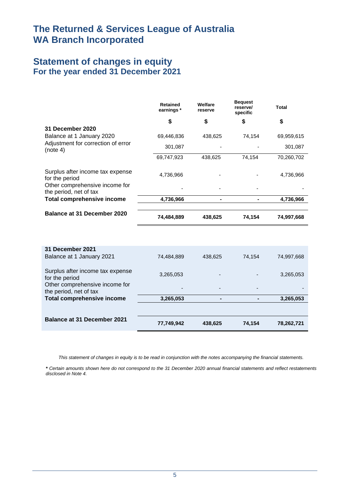# **Statement of changes in equity For the year ended 31 December 2021**

|                                                          | <b>Retained</b><br>earnings * | Welfare<br>reserve | <b>Bequest</b><br>reserve/<br>specific | Total      |
|----------------------------------------------------------|-------------------------------|--------------------|----------------------------------------|------------|
|                                                          | \$                            | \$                 | \$                                     | \$         |
| 31 December 2020                                         |                               |                    |                                        |            |
| Balance at 1 January 2020                                | 69,446,836                    | 438,625            | 74,154                                 | 69,959,615 |
| Adjustment for correction of error<br>(note 4)           | 301,087                       |                    |                                        | 301,087    |
|                                                          | 69,747,923                    | 438,625            | 74,154                                 | 70,260,702 |
| Surplus after income tax expense<br>for the period       | 4,736,966                     |                    |                                        | 4,736,966  |
| Other comprehensive income for<br>the period, net of tax |                               |                    |                                        |            |
| <b>Total comprehensive income</b>                        | 4,736,966                     |                    |                                        | 4,736,966  |
| Balance at 31 December 2020                              | 74,484,889                    | 438,625            | 74,154                                 | 74,997,668 |

| 31 December 2021<br>Balance at 1 January 2021            | 74.484.889               | 438.625 | 74.154                   | 74,997,668 |
|----------------------------------------------------------|--------------------------|---------|--------------------------|------------|
| Surplus after income tax expense<br>for the period       | 3,265,053                |         |                          | 3,265,053  |
| Other comprehensive income for<br>the period, net of tax | $\overline{\phantom{0}}$ |         | $\overline{\phantom{0}}$ |            |
| <b>Total comprehensive income</b>                        | 3,265,053                |         | -                        | 3,265,053  |
|                                                          |                          |         |                          |            |
| <b>Balance at 31 December 2021</b>                       | 77,749,942               | 438.625 | 74.154                   | 78,262,721 |

*This statement of changes in equity is to be read in conjunction with the notes accompanying the financial statements.*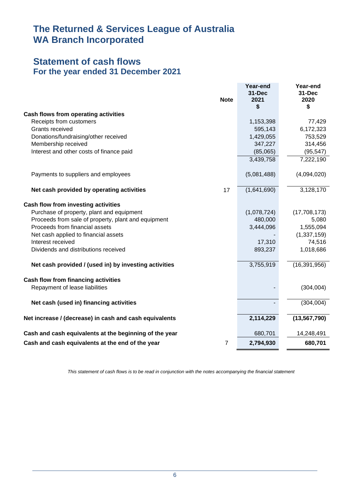## **Statement of cash flows For the year ended 31 December 2021**

| <b>Note</b>                                                        | Year-end<br><b>31-Dec</b><br>2021<br>\$ | Year-end<br>31-Dec<br>2020<br>\$ |
|--------------------------------------------------------------------|-----------------------------------------|----------------------------------|
| <b>Cash flows from operating activities</b>                        |                                         |                                  |
| Receipts from customers                                            | 1,153,398                               | 77,429                           |
| Grants received                                                    | 595,143                                 | 6,172,323                        |
| Donations/fundraising/other received                               | 1,429,055                               | 753,529                          |
| Membership received                                                | 347,227                                 | 314,456                          |
| Interest and other costs of finance paid                           | (85,065)                                | (95, 547)                        |
|                                                                    | 3,439,758                               | 7,222,190                        |
| Payments to suppliers and employees                                | (5,081,488)                             | (4,094,020)                      |
| Net cash provided by operating activities<br>17                    | (1,641,690)                             | 3,128,170                        |
| Cash flow from investing activities                                |                                         |                                  |
| Purchase of property, plant and equipment                          | (1,078,724)                             | (17,708,173)                     |
| Proceeds from sale of property, plant and equipment                | 480,000                                 | 5,080                            |
| Proceeds from financial assets                                     | 3,444,096                               | 1,555,094                        |
| Net cash applied to financial assets                               |                                         | (1, 337, 159)                    |
| Interest received                                                  | 17,310                                  | 74,516                           |
| Dividends and distributions received                               | 893,237                                 | 1,018,686                        |
| Net cash provided / (used in) by investing activities              | 3,755,919                               | (16, 391, 956)                   |
| <b>Cash flow from financing activities</b>                         |                                         |                                  |
| Repayment of lease liabilities                                     |                                         | (304, 004)                       |
| Net cash (used in) financing activities                            |                                         | (304, 004)                       |
| Net increase / (decrease) in cash and cash equivalents             | 2,114,229                               | (13, 567, 790)                   |
| Cash and cash equivalents at the beginning of the year             | 680,701                                 | 14,248,491                       |
| $\overline{7}$<br>Cash and cash equivalents at the end of the year | 2,794,930                               | 680,701                          |

*This statement of cash flows is to be read in conjunction with the notes accompanying the financial statement*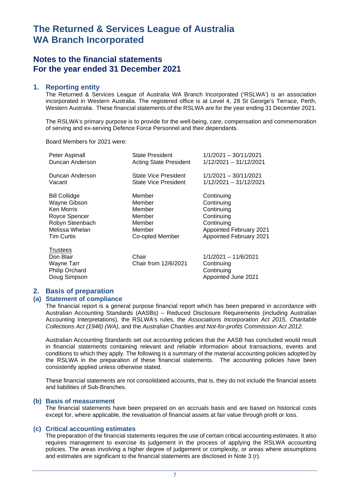## **Notes to the financial statements For the year ended 31 December 2021**

#### **1. Reporting entity**

The Returned & Services League of Australia WA Branch Incorporated ('RSLWA') is an association incorporated in Western Australia. The registered office is at Level 4, 28 St George's Terrace, Perth, Western Australia. These financial statements of the RSLWA are for the year ending 31 December 2021.

The RSLWA's primary purpose is to provide for the well-being, care, compensation and commemoration of serving and ex-serving Defence Force Personnel and their dependants.

#### Board Members for 2021 were:

| Peter Aspinall                                                               | <b>State President</b>        | 1/1/2021 - 30/11/2021                                                   |
|------------------------------------------------------------------------------|-------------------------------|-------------------------------------------------------------------------|
| Duncan Anderson                                                              | <b>Acting State President</b> | 1/12/2021 - 31/12/2021                                                  |
| Duncan Anderson                                                              | <b>State Vice President</b>   | $1/1/2021 - 30/11/2021$                                                 |
| Vacant                                                                       | <b>State Vice President</b>   | 1/12/2021 - 31/12/2021                                                  |
| <b>Bill Collidge</b>                                                         | Member                        | Continuing                                                              |
| Wayne Gibson                                                                 | Member                        | Continuing                                                              |
| Ken Morris                                                                   | Member                        | Continuing                                                              |
| Royce Spencer                                                                | Member                        | Continuing                                                              |
| Robyn Steenbach                                                              | Member                        | Continuing                                                              |
| Melissa Whelan                                                               | Member                        | Appointed February 2021                                                 |
| <b>Tim Curtis</b>                                                            | Co-opted Member               | Appointed February 2021                                                 |
| <b>Trustees</b><br>Don Blair<br>Wayne Tarr<br>Philip Orchard<br>Doug Simpson | Chair<br>Chair from 12/6/2021 | 1/1/2021 - 11/6/2021<br>Continuing<br>Continuing<br>Appointed June 2021 |

### **2. Basis of preparation**

#### **(a) Statement of compliance**

The financial report is a general purpose financial report which has been prepared in accordance with Australian Accounting Standards (AASBs) – Reduced Disclosure Requirements (including Australian Accounting Interpretations), the RSLWA's rules, the *Associations Incorporation Act 2015*, *Charitable Collections Act (1946) (WA)*, and the *Australian Charities and Not-for-profits Commission Act 2012*.

Australian Accounting Standards set out accounting policies that the AASB has concluded would result in financial statements containing relevant and reliable information about transactions, events and conditions to which they apply. The following is a summary of the material accounting policies adopted by the RSLWA in the preparation of these financial statements. The accounting policies have been consistently applied unless otherwise stated.

These financial statements are not consolidated accounts, that is, they do not include the financial assets and liabilities of Sub-Branches.

#### **(b) Basis of measurement**

The financial statements have been prepared on an accruals basis and are based on historical costs except for, where applicable, the revaluation of financial assets at fair value through profit or loss.

### **(c) Critical accounting estimates**

The preparation of the financial statements requires the use of certain critical accounting estimates. It also requires management to exercise its judgement in the process of applying the RSLWA accounting policies. The areas involving a higher degree of judgement or complexity, or areas where assumptions and estimates are significant to the financial statements are disclosed in Note 3 (r).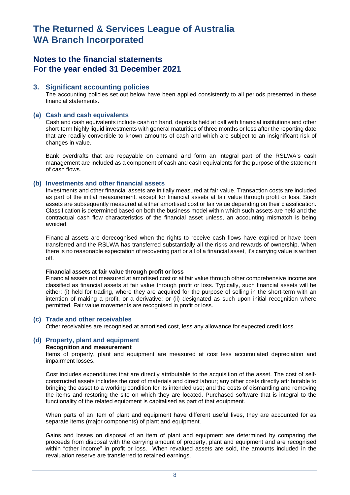## **Notes to the financial statements For the year ended 31 December 2021**

### **3. Significant accounting policies**

The accounting policies set out below have been applied consistently to all periods presented in these financial statements.

#### **(a) Cash and cash equivalents**

Cash and cash equivalents include cash on hand, deposits held at call with financial institutions and other short-term highly liquid investments with general maturities of three months or less after the reporting date that are readily convertible to known amounts of cash and which are subject to an insignificant risk of changes in value.

Bank overdrafts that are repayable on demand and form an integral part of the RSLWA's cash management are included as a component of cash and cash equivalents for the purpose of the statement of cash flows.

#### **(b) Investments and other financial assets**

Investments and other financial assets are initially measured at fair value. Transaction costs are included as part of the initial measurement, except for financial assets at fair value through profit or loss. Such assets are subsequently measured at either amortised cost or fair value depending on their classification. Classification is determined based on both the business model within which such assets are held and the contractual cash flow characteristics of the financial asset unless, an accounting mismatch is being avoided.

Financial assets are derecognised when the rights to receive cash flows have expired or have been transferred and the RSLWA has transferred substantially all the risks and rewards of ownership. When there is no reasonable expectation of recovering part or all of a financial asset, it's carrying value is written off.

#### **Financial assets at fair value through profit or loss**

Financial assets not measured at amortised cost or at fair value through other comprehensive income are classified as financial assets at fair value through profit or loss. Typically, such financial assets will be either: (i) held for trading, where they are acquired for the purpose of selling in the short-term with an intention of making a profit, or a derivative; or (ii) designated as such upon initial recognition where permitted. Fair value movements are recognised in profit or loss.

#### **(c) Trade and other receivables**

Other receivables are recognised at amortised cost, less any allowance for expected credit loss.

### **(d) Property, plant and equipment**

#### **Recognition and measurement**

Items of property, plant and equipment are measured at cost less accumulated depreciation and impairment losses.

Cost includes expenditures that are directly attributable to the acquisition of the asset. The cost of selfconstructed assets includes the cost of materials and direct labour; any other costs directly attributable to bringing the asset to a working condition for its intended use; and the costs of dismantling and removing the items and restoring the site on which they are located. Purchased software that is integral to the functionality of the related equipment is capitalised as part of that equipment.

When parts of an item of plant and equipment have different useful lives, they are accounted for as separate items (major components) of plant and equipment.

Gains and losses on disposal of an item of plant and equipment are determined by comparing the proceeds from disposal with the carrying amount of property, plant and equipment and are recognised within "other income" in profit or loss. When revalued assets are sold, the amounts included in the revaluation reserve are transferred to retained earnings.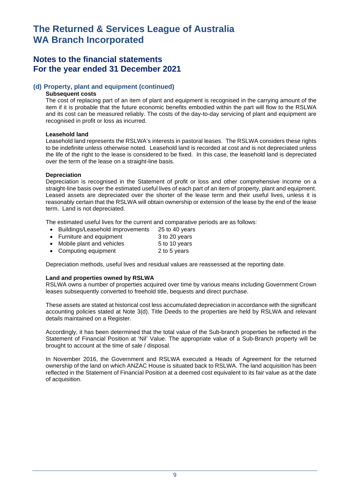## **Notes to the financial statements For the year ended 31 December 2021**

#### **(d) Property, plant and equipment (continued)**

#### **Subsequent costs**

The cost of replacing part of an item of plant and equipment is recognised in the carrying amount of the item if it is probable that the future economic benefits embodied within the part will flow to the RSLWA and its cost can be measured reliably. The costs of the day-to-day servicing of plant and equipment are recognised in profit or loss as incurred.

#### **Leasehold land**

Leasehold land represents the RSLWA's interests in pastoral leases. The RSLWA considers these rights to be indefinite unless otherwise noted. Leasehold land is recorded at cost and is not depreciated unless the life of the right to the lease is considered to be fixed. In this case, the leasehold land is depreciated over the term of the lease on a straight-line basis.

#### **Depreciation**

Depreciation is recognised in the Statement of profit or loss and other comprehensive income on a straight-line basis over the estimated useful lives of each part of an item of property, plant and equipment. Leased assets are depreciated over the shorter of the lease term and their useful lives, unless it is reasonably certain that the RSLWA will obtain ownership or extension of the lease by the end of the lease term. Land is not depreciated.

The estimated useful lives for the current and comparative periods are as follows:

- Buildings/Leasehold improvements 25 to 40 years • Furniture and equipment 3 to 20 years
- Mobile plant and vehicles 5 to 10 years
- Computing equipment 2 to 5 years

Depreciation methods, useful lives and residual values are reassessed at the reporting date.

#### **Land and properties owned by RSLWA**

RSLWA owns a number of properties acquired over time by various means including Government Crown leases subsequently converted to freehold title, bequests and direct purchase.

These assets are stated at historical cost less accumulated depreciation in accordance with the significant accounting policies stated at Note 3(d). Title Deeds to the properties are held by RSLWA and relevant details maintained on a Register.

Accordingly, it has been determined that the total value of the Sub-branch properties be reflected in the Statement of Financial Position at 'Nil' Value. The appropriate value of a Sub-Branch property will be brought to account at the time of sale / disposal.

In November 2016, the Government and RSLWA executed a Heads of Agreement for the returned ownership of the land on which ANZAC House is situated back to RSLWA. The land acquisition has been reflected in the Statement of Financial Position at a deemed cost equivalent to its fair value as at the date of acquisition.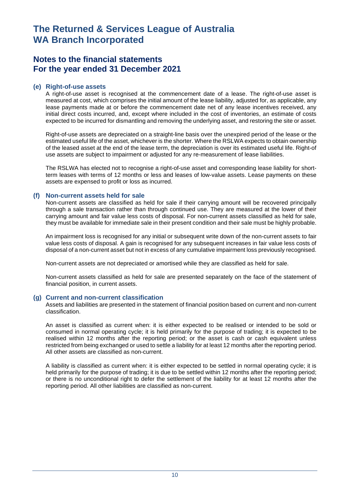## **Notes to the financial statements For the year ended 31 December 2021**

#### **(e) Right-of-use assets**

A right-of-use asset is recognised at the commencement date of a lease. The right-of-use asset is measured at cost, which comprises the initial amount of the lease liability, adjusted for, as applicable, any lease payments made at or before the commencement date net of any lease incentives received, any initial direct costs incurred, and, except where included in the cost of inventories, an estimate of costs expected to be incurred for dismantling and removing the underlying asset, and restoring the site or asset.

Right-of-use assets are depreciated on a straight-line basis over the unexpired period of the lease or the estimated useful life of the asset, whichever is the shorter. Where the RSLWA expects to obtain ownership of the leased asset at the end of the lease term, the depreciation is over its estimated useful life. Right-of use assets are subject to impairment or adjusted for any re-measurement of lease liabilities.

The RSLWA has elected not to recognise a right-of-use asset and corresponding lease liability for shortterm leases with terms of 12 months or less and leases of low-value assets. Lease payments on these assets are expensed to profit or loss as incurred.

#### **(f) Non-current assets held for sale**

Non-current assets are classified as held for sale if their carrying amount will be recovered principally through a sale transaction rather than through continued use. They are measured at the lower of their carrying amount and fair value less costs of disposal. For non-current assets classified as held for sale, they must be available for immediate sale in their present condition and their sale must be highly probable.

An impairment loss is recognised for any initial or subsequent write down of the non-current assets to fair value less costs of disposal. A gain is recognised for any subsequent increases in fair value less costs of disposal of a non-current asset but not in excess of any cumulative impairment loss previously recognised.

Non-current assets are not depreciated or amortised while they are classified as held for sale.

Non-current assets classified as held for sale are presented separately on the face of the statement of financial position, in current assets.

### **(g) Current and non-current classification**

Assets and liabilities are presented in the statement of financial position based on current and non-current classification.

An asset is classified as current when: it is either expected to be realised or intended to be sold or consumed in normal operating cycle; it is held primarily for the purpose of trading; it is expected to be realised within 12 months after the reporting period; or the asset is cash or cash equivalent unless restricted from being exchanged or used to settle a liability for at least 12 months after the reporting period. All other assets are classified as non-current.

A liability is classified as current when: it is either expected to be settled in normal operating cycle; it is held primarily for the purpose of trading; it is due to be settled within 12 months after the reporting period; or there is no unconditional right to defer the settlement of the liability for at least 12 months after the reporting period. All other liabilities are classified as non-current.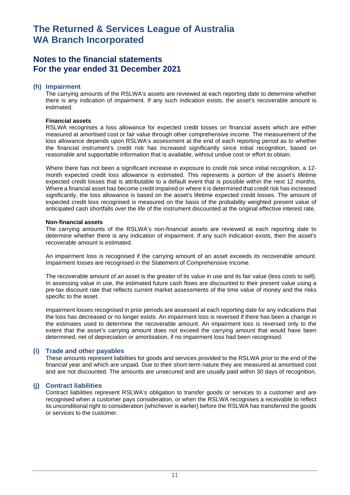## **Notes to the financial statements For the year ended 31 December 2021**

#### **(h) Impairment**

The carrying amounts of the RSLWA's assets are reviewed at each reporting date to determine whether there is any indication of impairment. If any such indication exists, the asset's recoverable amount is estimated.

#### **Financial assets**

RSLWA recognises a loss allowance for expected credit losses on financial assets which are either measured at amortised cost or fair value through other comprehensive income. The measurement of the loss allowance depends upon RSLWA's assessment at the end of each reporting period as to whether the financial instrument's credit risk has increased significantly since initial recognition, based on reasonable and supportable information that is available, without undue cost or effort to obtain.

Where there has not been a significant increase in exposure to credit risk since initial recognition, a 12 month expected credit loss allowance is estimated. This represents a portion of the asset's lifetime expected credit losses that is attributable to a default event that is possible within the next 12 months. Where a financial asset has become credit impaired or where it is determined that credit risk has increased significantly, the loss allowance is based on the asset's lifetime expected credit losses. The amount of expected credit loss recognised is measured on the basis of the probability weighted present value of anticipated cash shortfalls over the life of the instrument discounted at the original effective interest rate.

#### **Non-financial assets**

The carrying amounts of the RSLWA's non-financial assets are reviewed at each reporting date to determine whether there is any indication of impairment. If any such indication exists, then the asset's recoverable amount is estimated.

An impairment loss is recognised if the carrying amount of an asset exceeds its recoverable amount. Impairment losses are recognised in the Statement of Comprehensive Income.

The recoverable amount of an asset is the greater of its value in use and its fair value (less costs to sell). In assessing value in use, the estimated future cash flows are discounted to their present value using a pre-tax discount rate that reflects current market assessments of the time value of money and the risks specific to the asset.

Impairment losses recognised in prior periods are assessed at each reporting date for any indications that the loss has decreased or no longer exists. An impairment loss is reversed if there has been a change in the estimates used to determine the recoverable amount. An impairment loss is reversed only to the extent that the asset's carrying amount does not exceed the carrying amount that would have been determined, net of depreciation or amortisation, if no impairment loss had been recognised.

#### **(i) Trade and other payables**

These amounts represent liabilities for goods and services provided to the RSLWA prior to the end of the financial year and which are unpaid. Due to their short-term nature they are measured at amortised cost and are not discounted. The amounts are unsecured and are usually paid within 30 days of recognition.

#### **(j) Contract liabilities**

Contract liabilities represent RSLWA's obligation to transfer goods or services to a customer and are recognised when a customer pays consideration, or when the RSLWA recognises a receivable to reflect its unconditional right to consideration (whichever is earlier) before the RSLWA has transferred the goods or services to the customer.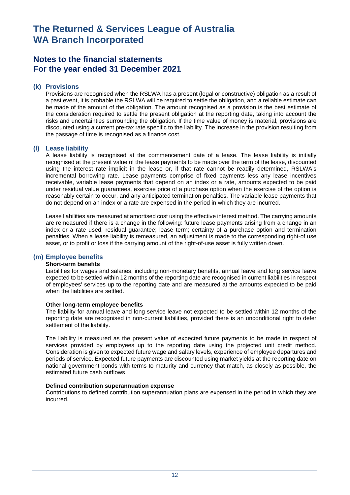## **Notes to the financial statements For the year ended 31 December 2021**

### **(k) Provisions**

Provisions are recognised when the RSLWA has a present (legal or constructive) obligation as a result of a past event, it is probable the RSLWA will be required to settle the obligation, and a reliable estimate can be made of the amount of the obligation. The amount recognised as a provision is the best estimate of the consideration required to settle the present obligation at the reporting date, taking into account the risks and uncertainties surrounding the obligation. If the time value of money is material, provisions are discounted using a current pre-tax rate specific to the liability. The increase in the provision resulting from the passage of time is recognised as a finance cost.

#### **(l) Lease liability**

A lease liability is recognised at the commencement date of a lease. The lease liability is initially recognised at the present value of the lease payments to be made over the term of the lease, discounted using the interest rate implicit in the lease or, if that rate cannot be readily determined, RSLWA's incremental borrowing rate. Lease payments comprise of fixed payments less any lease incentives receivable, variable lease payments that depend on an index or a rate, amounts expected to be paid under residual value guarantees, exercise price of a purchase option when the exercise of the option is reasonably certain to occur, and any anticipated termination penalties. The variable lease payments that do not depend on an index or a rate are expensed in the period in which they are incurred.

Lease liabilities are measured at amortised cost using the effective interest method. The carrying amounts are remeasured if there is a change in the following: future lease payments arising from a change in an index or a rate used; residual guarantee; lease term; certainty of a purchase option and termination penalties. When a lease liability is remeasured, an adjustment is made to the corresponding right-of use asset, or to profit or loss if the carrying amount of the right-of-use asset is fully written down.

### **(m) Employee benefits**

#### **Short-term benefits**

Liabilities for wages and salaries, including non-monetary benefits, annual leave and long service leave expected to be settled within 12 months of the reporting date are recognised in current liabilities in respect of employees' services up to the reporting date and are measured at the amounts expected to be paid when the liabilities are settled.

#### **Other long-term employee benefits**

The liability for annual leave and long service leave not expected to be settled within 12 months of the reporting date are recognised in non-current liabilities, provided there is an unconditional right to defer settlement of the liability.

The liability is measured as the present value of expected future payments to be made in respect of services provided by employees up to the reporting date using the projected unit credit method. Consideration is given to expected future wage and salary levels, experience of employee departures and periods of service. Expected future payments are discounted using market yields at the reporting date on national government bonds with terms to maturity and currency that match, as closely as possible, the estimated future cash outflows

#### **Defined contribution superannuation expense**

Contributions to defined contribution superannuation plans are expensed in the period in which they are incurred.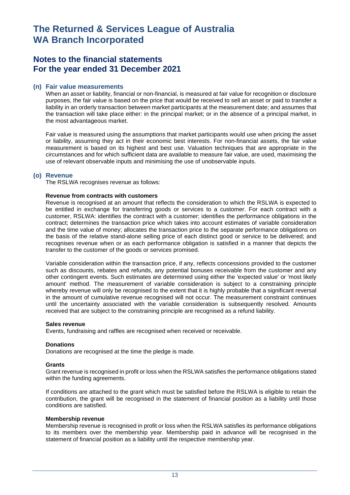## **Notes to the financial statements For the year ended 31 December 2021**

#### **(n) Fair value measurements**

When an asset or liability, financial or non-financial, is measured at fair value for recognition or disclosure purposes, the fair value is based on the price that would be received to sell an asset or paid to transfer a liability in an orderly transaction between market participants at the measurement date; and assumes that the transaction will take place either: in the principal market; or in the absence of a principal market, in the most advantageous market.

Fair value is measured using the assumptions that market participants would use when pricing the asset or liability, assuming they act in their economic best interests. For non-financial assets, the fair value measurement is based on its highest and best use. Valuation techniques that are appropriate in the circumstances and for which sufficient data are available to measure fair value, are used, maximising the use of relevant observable inputs and minimising the use of unobservable inputs.

#### **(o) Revenue**

The RSLWA recognises revenue as follows:

#### **Revenue from contracts with customers**

Revenue is recognised at an amount that reflects the consideration to which the RSLWA is expected to be entitled in exchange for transferring goods or services to a customer. For each contract with a customer, RSLWA: identifies the contract with a customer; identifies the performance obligations in the contract; determines the transaction price which takes into account estimates of variable consideration and the time value of money; allocates the transaction price to the separate performance obligations on the basis of the relative stand-alone selling price of each distinct good or service to be delivered; and recognises revenue when or as each performance obligation is satisfied in a manner that depicts the transfer to the customer of the goods or services promised.

Variable consideration within the transaction price, if any, reflects concessions provided to the customer such as discounts, rebates and refunds, any potential bonuses receivable from the customer and any other contingent events. Such estimates are determined using either the 'expected value' or 'most likely amount' method. The measurement of variable consideration is subject to a constraining principle whereby revenue will only be recognised to the extent that it is highly probable that a significant reversal in the amount of cumulative revenue recognised will not occur. The measurement constraint continues until the uncertainty associated with the variable consideration is subsequently resolved. Amounts received that are subject to the constraining principle are recognised as a refund liability.

#### **Sales revenue**

Events, fundraising and raffles are recognised when received or receivable.

#### **Donations**

Donations are recognised at the time the pledge is made.

#### **Grants**

Grant revenue is recognised in profit or loss when the RSLWA satisfies the performance obligations stated within the funding agreements.

If conditions are attached to the grant which must be satisfied before the RSLWA is eligible to retain the contribution, the grant will be recognised in the statement of financial position as a liability until those conditions are satisfied.

#### **Membership revenue**

Membership revenue is recognised in profit or loss when the RSLWA satisfies its performance obligations to its members over the membership year. Membership paid in advance will be recognised in the statement of financial position as a liability until the respective membership year.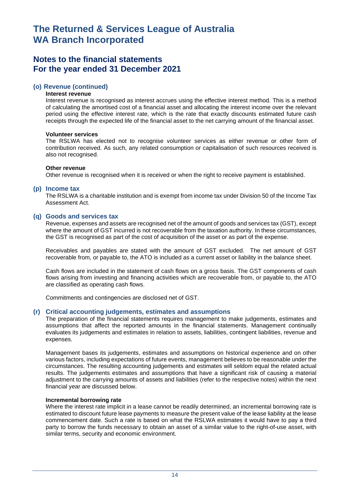## **Notes to the financial statements For the year ended 31 December 2021**

#### **(o) Revenue (continued)**

#### **Interest revenue**

Interest revenue is recognised as interest accrues using the effective interest method. This is a method of calculating the amortised cost of a financial asset and allocating the interest income over the relevant period using the effective interest rate, which is the rate that exactly discounts estimated future cash receipts through the expected life of the financial asset to the net carrying amount of the financial asset.

#### **Volunteer services**

The RSLWA has elected not to recognise volunteer services as either revenue or other form of contribution received. As such, any related consumption or capitalisation of such resources received is also not recognised.

#### **Other revenue**

Other revenue is recognised when it is received or when the right to receive payment is established.

#### **(p) Income tax**

The RSLWA is a charitable institution and is exempt from income tax under Division 50 of the Income Tax Assessment Act.

#### **(q) Goods and services tax**

Revenue, expenses and assets are recognised net of the amount of goods and services tax (GST), except where the amount of GST incurred is not recoverable from the taxation authority. In these circumstances, the GST is recognised as part of the cost of acquisition of the asset or as part of the expense.

Receivables and payables are stated with the amount of GST excluded. The net amount of GST recoverable from, or payable to, the ATO is included as a current asset or liability in the balance sheet.

Cash flows are included in the statement of cash flows on a gross basis. The GST components of cash flows arising from investing and financing activities which are recoverable from, or payable to, the ATO are classified as operating cash flows.

Commitments and contingencies are disclosed net of GST.

#### **(r) Critical accounting judgements, estimates and assumptions**

The preparation of the financial statements requires management to make judgements, estimates and assumptions that affect the reported amounts in the financial statements. Management continually evaluates its judgements and estimates in relation to assets, liabilities, contingent liabilities, revenue and expenses.

Management bases its judgements, estimates and assumptions on historical experience and on other various factors, including expectations of future events, management believes to be reasonable under the circumstances. The resulting accounting judgements and estimates will seldom equal the related actual results. The judgements estimates and assumptions that have a significant risk of causing a material adjustment to the carrying amounts of assets and liabilities (refer to the respective notes) within the next financial year are discussed below.

#### **Incremental borrowing rate**

Where the interest rate implicit in a lease cannot be readily determined, an incremental borrowing rate is estimated to discount future lease payments to measure the present value of the lease liability at the lease commencement date. Such a rate is based on what the RSLWA estimates it would have to pay a third party to borrow the funds necessary to obtain an asset of a similar value to the right-of-use asset, with similar terms, security and economic environment.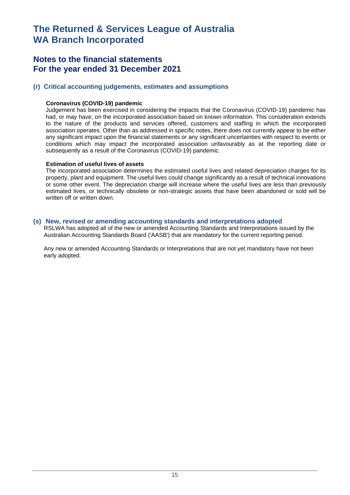## **Notes to the financial statements For the year ended 31 December 2021**

### **(r) Critical accounting judgements, estimates and assumptions**

#### **Coronavirus (COVID-19) pandemic**

Judgement has been exercised in considering the impacts that the Coronavirus (COVID-19) pandemic has had, or may have, on the incorporated association based on known information. This consideration extends to the nature of the products and services offered, customers and staffing in which the incorporated association operates. Other than as addressed in specific notes, there does not currently appear to be either any significant impact upon the financial statements or any significant uncertainties with respect to events or conditions which may impact the incorporated association unfavourably as at the reporting date or subsequently as a result of the Coronavirus (COVID-19) pandemic.

#### **Estimation of useful lives of assets**

The incorporated association determines the estimated useful lives and related depreciation charges for its property, plant and equipment. The useful lives could change significantly as a result of technical innovations or some other event. The depreciation charge will increase where the useful lives are less than previously estimated lives, or technically obsolete or non-strategic assets that have been abandoned or sold will be written off or written down.

#### **(s) New, revised or amending accounting standards and interpretations adopted**

RSLWA has adopted all of the new or amended Accounting Standards and Interpretations issued by the Australian Accounting Standards Board ('AASB') that are mandatory for the current reporting period.

Any new or amended Accounting Standards or Interpretations that are not yet mandatory have not been early adopted.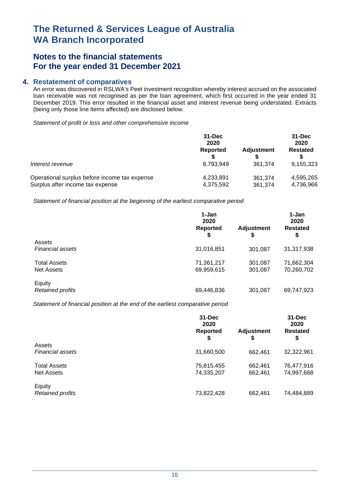## **Notes to the financial statements For the year ended 31 December 2021**

### **4. Restatement of comparatives**

An error was discovered in RSLWA's Peet investment recognition whereby interest accrued on the associated loan receivable was not recognised as per the loan agreement, which first occurred in the year ended 31 December 2019. This error resulted in the financial asset and interest revenue being understated. Extracts (being only those line items affected) are disclosed below.

*Statement of profit or loss and other comprehensive income* 

|                                               | $31 - Dec$<br>2020 |                   | $31 - Dec$<br>2020 |  |
|-----------------------------------------------|--------------------|-------------------|--------------------|--|
|                                               | Reported           | <b>Adjustment</b> | <b>Restated</b>    |  |
| Interest revenue                              | 8.793.949          | 361.374           | 9,155,323          |  |
| Operational surplus before income tax expense | 4,233,891          | 361.374           | 4,595,265          |  |
| Surplus after income tax expense              | 4,375,592          | 361,374           | 4,736,966          |  |

*Statement of financial position at the beginning of the earliest comparative period* 

|                         | 1-Jan<br>2020<br><b>Reported</b><br>\$ | <b>Adjustment</b><br>\$ | 1-Jan<br>2020<br><b>Restated</b><br>\$ |
|-------------------------|----------------------------------------|-------------------------|----------------------------------------|
| Assets                  |                                        |                         |                                        |
| <b>Financial assets</b> | 31,016,851                             | 301,087                 | 31,317,938                             |
| <b>Total Assets</b>     | 71,361,217                             | 301,087                 | 71,662,304                             |
| Net Assets              | 69,959,615                             | 301,087                 | 70,260,702                             |
| Equity                  |                                        |                         |                                        |
| <b>Retained profits</b> | 69,446,836                             | 301,087                 | 69,747,923                             |

*Statement of financial position at the end of the earliest comparative period* 

|                                          | $31 - Dec$<br>2020<br><b>Reported</b><br>\$ | <b>Adjustment</b><br>S | $31 - Dec$<br>2020<br><b>Restated</b><br>\$ |
|------------------------------------------|---------------------------------------------|------------------------|---------------------------------------------|
| Assets<br><b>Financial assets</b>        | 31,660,500                                  | 662,461                | 32,322,961                                  |
| <b>Total Assets</b><br><b>Net Assets</b> | 75,815,455<br>74,335,207                    | 662,461<br>662,461     | 76,477,916<br>74,997,668                    |
| Equity<br><b>Retained profits</b>        | 73,822,428                                  | 662,461                | 74,484,889                                  |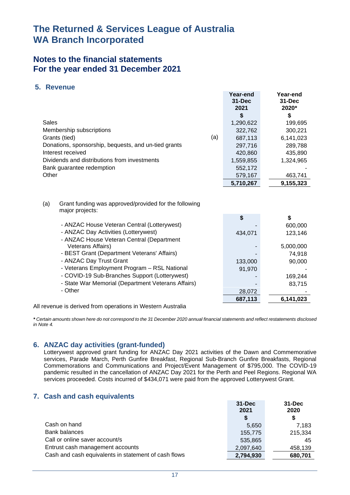## **Notes to the financial statements For the year ended 31 December 2021**

### **5. Revenue**

|       |                                                                          |     | Year-end   | Year-end   |
|-------|--------------------------------------------------------------------------|-----|------------|------------|
|       |                                                                          |     | $31 - Dec$ | $31 - Dec$ |
|       |                                                                          |     | 2021       | 2020*      |
|       |                                                                          |     | \$         | \$         |
| Sales |                                                                          |     | 1,290,622  | 199,695    |
|       | Membership subscriptions                                                 |     | 322,762    | 300,221    |
|       | Grants (tied)                                                            | (a) | 687,113    | 6,141,023  |
|       | Donations, sponsorship, bequests, and un-tied grants                     |     | 297,716    | 289,788    |
|       | Interest received                                                        |     | 420,860    | 435,890    |
|       | Dividends and distributions from investments                             |     | 1,559,855  | 1,324,965  |
|       | Bank guarantee redemption                                                |     | 552,172    |            |
| Other |                                                                          |     | 579,167    | 463,741    |
|       |                                                                          |     | 5,710,267  | 9,155,323  |
| (a)   | Grant funding was approved/provided for the following<br>major projects: |     |            |            |
|       |                                                                          |     | \$         | \$         |
|       | - ANZAC House Veteran Central (Lotterywest)                              |     |            | 600,000    |
|       | - ANZAC Day Activities (Lotterywest)                                     |     | 434,071    | 123,146    |
|       | - ANZAC House Veteran Central (Department                                |     |            |            |
|       | Veterans Affairs)                                                        |     |            | 5,000,000  |
|       | - BEST Grant (Department Veterans' Affairs)                              |     |            | 74,918     |
|       | - ANZAC Day Trust Grant                                                  |     | 133,000    | 90,000     |
|       | - Veterans Employment Program - RSL National                             |     | 91,970     |            |
|       | - COVID-19 Sub-Branches Support (Lotterywest)                            |     |            | 169,244    |
|       | - State War Memorial (Department Veterans Affairs)                       |     |            | 83,715     |
|       | - Other                                                                  |     | 28,072     |            |
|       |                                                                          |     | 687,113    | 6,141,023  |

All revenue is derived from operations in Western Australia

*\* Certain amounts shown here do not correspond to the 31 December 2020 annual financial statements and reflect restatements disclosed in Note 4.*

### **6. ANZAC day activities (grant-funded)**

Lotterywest approved grant funding for ANZAC Day 2021 activities of the Dawn and Commemorative services, Parade March, Perth Gunfire Breakfast, Regional Sub-Branch Gunfire Breakfasts, Regional Commemorations and Communications and Project/Event Management of \$795,000. The COVID-19 pandemic resulted in the cancellation of ANZAC Day 2021 for the Perth and Peel Regions. Regional WA services proceeded. Costs incurred of \$434,071 were paid from the approved Lotterywest Grant.

### **7. Cash and cash equivalents**

|                                                      | $31 - Dec$<br>2021 | $31 - Dec$<br>2020 |
|------------------------------------------------------|--------------------|--------------------|
|                                                      | \$                 | S                  |
| Cash on hand                                         | 5,650              | 7,183              |
| <b>Bank balances</b>                                 | 155.775            | 215,334            |
| Call or online saver account/s                       | 535,865            | 45                 |
| Entrust cash management accounts                     | 2,097,640          | 458,139            |
| Cash and cash equivalents in statement of cash flows | 2,794,930          | 680,701            |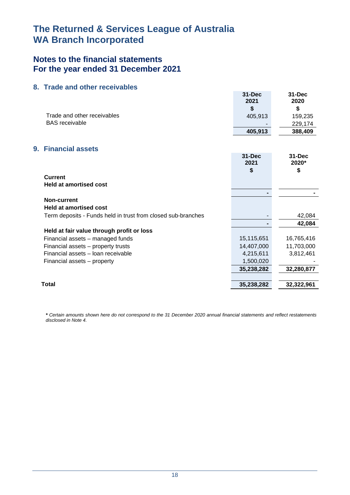## **Notes to the financial statements For the year ended 31 December 2021**

### **8. Trade and other receivables**

|                                                              | $31 - Dec$<br>2021<br>\$ | $31 - Dec$<br>2020<br>\$ |
|--------------------------------------------------------------|--------------------------|--------------------------|
| Trade and other receivables                                  | 405,913                  | 159,235                  |
| <b>BAS</b> receivable                                        |                          | 229,174                  |
|                                                              | 405,913                  | 388,409                  |
|                                                              |                          |                          |
| 9. Financial assets                                          |                          |                          |
|                                                              | 31-Dec<br>2021           | $31 - Dec$<br>2020*      |
|                                                              | \$                       | \$                       |
| <b>Current</b>                                               |                          |                          |
| <b>Held at amortised cost</b>                                |                          |                          |
|                                                              |                          |                          |
| Non-current<br><b>Held at amortised cost</b>                 |                          |                          |
|                                                              |                          | 42,084                   |
| Term deposits - Funds held in trust from closed sub-branches |                          | 42,084                   |
| Held at fair value through profit or loss                    |                          |                          |
| Financial assets - managed funds                             | 15,115,651               | 16,765,416               |
| Financial assets - property trusts                           | 14,407,000               | 11,703,000               |
| Financial assets - loan receivable                           | 4,215,611                | 3,812,461                |
| Financial assets - property                                  | 1,500,020                |                          |
|                                                              | 35,238,282               | 32,280,877               |
|                                                              |                          |                          |
| <b>Total</b>                                                 | 35,238,282               | 32,322,961               |
|                                                              |                          |                          |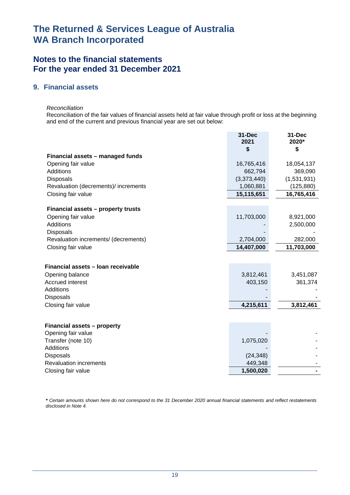## **Notes to the financial statements For the year ended 31 December 2021**

### **9. Financial assets**

*Reconciliation* 

Reconciliation of the fair values of financial assets held at fair value through profit or loss at the beginning and end of the current and previous financial year are set out below:

|                                                   | <b>31-Dec</b><br>2021<br>\$ | 31-Dec<br>2020*<br>\$ |
|---------------------------------------------------|-----------------------------|-----------------------|
| Financial assets - managed funds                  |                             |                       |
| Opening fair value                                | 16,765,416                  | 18,054,137            |
| Additions                                         | 662,794                     | 369,090               |
| <b>Disposals</b>                                  | (3,373,440)                 | (1,531,931)           |
| Revaluation (decrements)/ increments              | 1,060,881                   | (125, 880)            |
| Closing fair value                                | 15,115,651                  | 16,765,416            |
| Financial assets - property trusts                |                             |                       |
| Opening fair value                                | 11,703,000                  | 8,921,000             |
| Additions                                         |                             | 2,500,000             |
| <b>Disposals</b>                                  |                             |                       |
| Revaluation increments/ (decrements)              | 2,704,000                   | 282,000               |
| Closing fair value                                | 14,407,000                  | 11,703,000            |
|                                                   |                             |                       |
| Financial assets - Ioan receivable                |                             |                       |
| Opening balance                                   | 3,812,461                   | 3,451,087             |
| Accrued interest                                  | 403,150                     | 361,374               |
| Additions                                         |                             |                       |
| Disposals                                         |                             |                       |
| Closing fair value                                | 4,215,611                   | 3,812,461             |
|                                                   |                             |                       |
| Financial assets - property                       |                             |                       |
| Opening fair value                                |                             |                       |
| Transfer (note 10)<br><b>Additions</b>            | 1,075,020                   |                       |
|                                                   |                             |                       |
| <b>Disposals</b><br><b>Revaluation increments</b> | (24, 348)<br>449,348        |                       |
| Closing fair value                                | 1,500,020                   |                       |
|                                                   |                             |                       |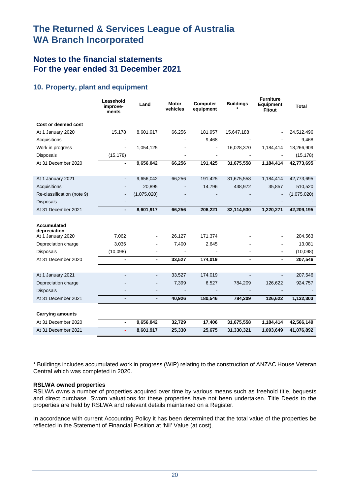## **Notes to the financial statements For the year ended 31 December 2021**

## **10. Property, plant and equipment**

|                                          | Leasehold<br>improve-<br>ments | Land                     | <b>Motor</b><br>vehicles | <b>Computer</b><br>equipment | <b>Buildings</b> | <b>Furniture</b><br><b>Equipment</b><br><b>Fitout</b> | <b>Total</b> |
|------------------------------------------|--------------------------------|--------------------------|--------------------------|------------------------------|------------------|-------------------------------------------------------|--------------|
| Cost or deemed cost                      |                                |                          |                          |                              |                  |                                                       |              |
| At 1 January 2020                        | 15,178                         | 8,601,917                | 66,256                   | 181,957                      | 15,647,188       |                                                       | 24,512,496   |
| Acquisitions                             |                                |                          |                          | 9,468                        |                  |                                                       | 9,468        |
| Work in progress                         |                                | 1,054,125                |                          |                              | 16,028,370       | 1,184,414                                             | 18,266,909   |
| Disposals                                | (15, 178)                      |                          |                          | $\overline{\phantom{a}}$     |                  |                                                       | (15, 178)    |
| At 31 December 2020                      |                                | 9,656,042                | 66,256                   | 191,425                      | 31,675,558       | 1,184,414                                             | 42,773,695   |
|                                          |                                |                          |                          |                              |                  |                                                       |              |
| At 1 January 2021                        |                                | 9,656,042                | 66,256                   | 191,425                      | 31,675,558       | 1,184,414                                             | 42,773,695   |
| Acquisitions                             |                                | 20,895                   |                          | 14,796                       | 438,972          | 35,857                                                | 510,520      |
| Re-classification (note 9)               |                                | (1,075,020)              |                          |                              |                  |                                                       | (1,075,020)  |
| <b>Disposals</b>                         |                                |                          |                          |                              |                  |                                                       |              |
| At 31 December 2021                      | $\blacksquare$                 | 8,601,917                | 66,256                   | 206,221                      | 32,114,530       | 1,220,271                                             | 42,209,195   |
| Accumulated<br>depreciation              |                                |                          |                          |                              |                  |                                                       |              |
| At 1 January 2020                        | 7,062                          |                          | 26,127                   | 171,374                      |                  |                                                       | 204,563      |
| Depreciation charge                      | 3,036                          |                          | 7,400                    | 2,645                        |                  |                                                       | 13,081       |
| <b>Disposals</b>                         | (10,098)                       |                          |                          |                              |                  | $\blacksquare$                                        | (10,098)     |
| At 31 December 2020                      | $\blacksquare$                 | $\overline{\phantom{a}}$ | 33,527                   | 174,019                      | $\blacksquare$   | $\blacksquare$                                        | 207,546      |
|                                          |                                | $\blacksquare$           | 33,527                   | 174,019                      | $\blacksquare$   | $\blacksquare$                                        | 207,546      |
| At 1 January 2021<br>Depreciation charge |                                |                          | 7,399                    | 6,527                        | 784,209          | 126,622                                               | 924,757      |
| <b>Disposals</b>                         |                                |                          |                          |                              |                  |                                                       |              |
| At 31 December 2021                      |                                |                          | 40,926                   | 180,546                      | 784,209          | 126,622                                               | 1,132,303    |
|                                          | $\overline{\phantom{0}}$       | $\overline{\phantom{a}}$ |                          |                              |                  |                                                       |              |
| <b>Carrying amounts</b>                  |                                |                          |                          |                              |                  |                                                       |              |
| At 31 December 2020                      | $\blacksquare$                 | 9,656,042                | 32,729                   | 17,406                       | 31,675,558       | 1,184,414                                             | 42,566,149   |
| At 31 December 2021                      | Ξ                              | 8,601,917                | 25,330                   | 25,675                       | 31,330,321       | 1,093,649                                             | 41,076,892   |

\* Buildings includes accumulated work in progress (WIP) relating to the construction of ANZAC House Veteran Central which was completed in 2020.

### **RSLWA owned properties**

RSLWA owns a number of properties acquired over time by various means such as freehold title, bequests and direct purchase. Sworn valuations for these properties have not been undertaken. Title Deeds to the properties are held by RSLWA and relevant details maintained on a Register.

In accordance with current Accounting Policy it has been determined that the total value of the properties be reflected in the Statement of Financial Position at 'Nil' Value (at cost).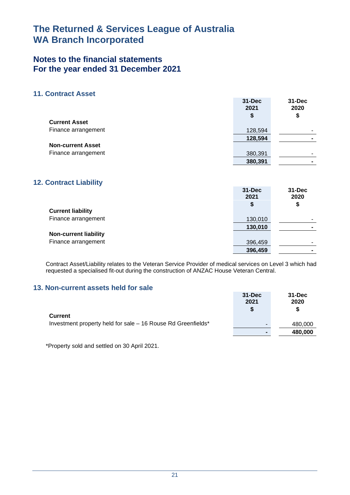## **Notes to the financial statements For the year ended 31 December 2021**

### **11. Contract Asset**

|                          | $31 - Dec$<br>2021<br>\$ | 31-Dec<br>2020<br>\$ |
|--------------------------|--------------------------|----------------------|
| <b>Current Asset</b>     |                          |                      |
| Finance arrangement      | 128,594                  |                      |
|                          | 128,594                  |                      |
| <b>Non-current Asset</b> |                          |                      |
| Finance arrangement      | 380,391                  |                      |
|                          | 380,391                  |                      |

### **12. Contract Liability**

|                              | $31 - Dec$<br>2021<br>\$ | 31-Dec<br>2020<br>\$ |
|------------------------------|--------------------------|----------------------|
| <b>Current liability</b>     |                          |                      |
| Finance arrangement          | 130,010                  |                      |
|                              | 130,010                  |                      |
| <b>Non-current liability</b> |                          |                      |
| Finance arrangement          | 396,459                  | ۰                    |
|                              | 396,459                  | ۰                    |

Contract Asset/Liability relates to the Veteran Service Provider of medical services on Level 3 which had requested a specialised fit-out during the construction of ANZAC House Veteran Central.

### **13. Non-current assets held for sale**

| <u>of thoir built aggula tiona toi gaid</u>                  | $31 - Dec$<br>2021<br>S | $31 - Dec$<br>2020<br>S |
|--------------------------------------------------------------|-------------------------|-------------------------|
| <b>Current</b>                                               |                         |                         |
| Investment property held for sale - 16 Rouse Rd Greenfields* | -                       | 480,000                 |
|                                                              | $\blacksquare$          | 480,000                 |

\*Property sold and settled on 30 April 2021.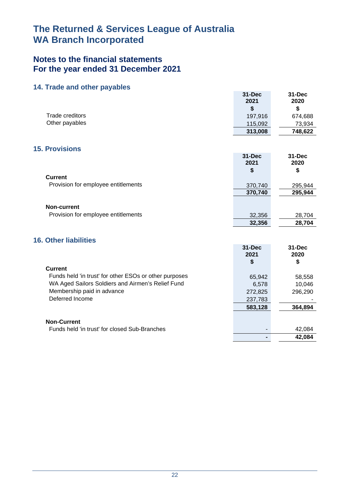## **Notes to the financial statements For the year ended 31 December 2021**

### **14. Trade and other payables**

|                                                        | <b>31-Dec</b><br>2021 | 31-Dec<br>2020 |
|--------------------------------------------------------|-----------------------|----------------|
| <b>Trade creditors</b>                                 | \$                    | \$             |
| Other payables                                         | 197,916               | 674,688        |
|                                                        | 115,092               | 73,934         |
|                                                        | 313,008               | 748,622        |
| <b>15. Provisions</b>                                  |                       |                |
|                                                        | $31 - Dec$            | $31 - Dec$     |
|                                                        | 2021                  | 2020           |
|                                                        | \$                    | \$             |
| <b>Current</b>                                         |                       |                |
| Provision for employee entitlements                    | 370,740               | 295,944        |
|                                                        | 370,740               | 295,944        |
|                                                        |                       |                |
| Non-current                                            |                       |                |
| Provision for employee entitlements                    | 32,356                | 28,704         |
|                                                        | 32,356                | 28,704         |
|                                                        |                       |                |
| <b>16. Other liabilities</b>                           |                       |                |
|                                                        | <b>31-Dec</b>         | $31 - Dec$     |
|                                                        | 2021                  | 2020           |
|                                                        | \$                    | \$             |
| <b>Current</b>                                         |                       |                |
| Funds held 'in trust' for other ESOs or other purposes | 65,942                | 58,558         |
| WA Aged Sailors Soldiers and Airmen's Relief Fund      | 6,578                 | 10,046         |
| Membership paid in advance                             | 272,825               | 296,290        |
| Deferred Income                                        | 237,783               |                |

**583,128 364,894**

**- 42,084**

**Non-Current**

Funds held 'in trust' for closed Sub-Branches **Accord 10 and 10 and 10 and 10 and 10 and 10 and 10 and 10 and 10 and 10 and 10 and 10 and 10 and 10 and 10 and 10 and 10 and 10 and 10 and 10 and 10 and 10 and 10 and 10 and**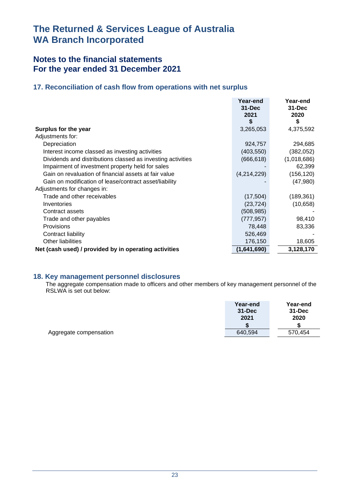## **Notes to the financial statements For the year ended 31 December 2021**

## **17. Reconciliation of cash flow from operations with net surplus**

|                                                             | Year-end<br>$31 - Dec$<br>2021<br>S | Year-end<br>$31 - Dec$<br>2020<br>\$ |
|-------------------------------------------------------------|-------------------------------------|--------------------------------------|
| Surplus for the year                                        | 3,265,053                           | 4,375,592                            |
| Adjustments for:                                            |                                     |                                      |
| Depreciation                                                | 924,757                             | 294,685                              |
| Interest income classed as investing activities             | (403, 550)                          | (382, 052)                           |
| Dividends and distributions classed as investing activities | (666, 618)                          | (1,018,686)                          |
| Impairment of investment property held for sales            |                                     | 62,399                               |
| Gain on revaluation of financial assets at fair value       | (4,214,229)                         | (156, 120)                           |
| Gain on modification of lease/contract asset/liability      |                                     | (47,980)                             |
| Adjustments for changes in:                                 |                                     |                                      |
| Trade and other receivables                                 | (17, 504)                           | (189, 361)                           |
| Inventories                                                 | (23, 724)                           | (10, 658)                            |
| Contract assets                                             | (508, 985)                          |                                      |
| Trade and other payables                                    | (777, 957)                          | 98,410                               |
| Provisions                                                  | 78,448                              | 83,336                               |
| Contract liability                                          | 526,469                             |                                      |
| <b>Other liabilities</b>                                    | 176,150                             | 18,605                               |
| Net (cash used) / provided by in operating activities       | (1,641,690)                         | 3,128,170                            |

### **18. Key management personnel disclosures**

The aggregate compensation made to officers and other members of key management personnel of the RSLWA is set out below:

|                        | Year-end   | Year-end   |
|------------------------|------------|------------|
|                        | $31 - Dec$ | $31 - Dec$ |
|                        | 2021       | 2020       |
|                        |            |            |
| Aggregate compensation | 640,594    | 570.454    |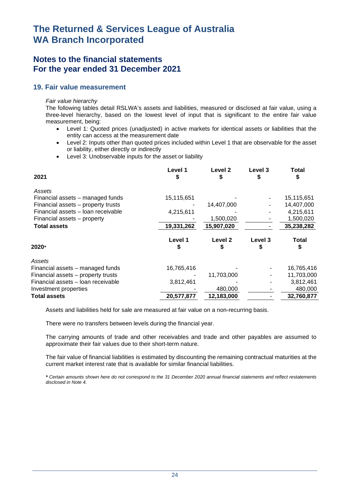## **Notes to the financial statements For the year ended 31 December 2021**

### **19. Fair value measurement**

#### *Fair value hierarchy*

The following tables detail RSLWA's assets and liabilities, measured or disclosed at fair value, using a three-level hierarchy, based on the lowest level of input that is significant to the entire fair value measurement, being:

- Level 1: Quoted prices (unadjusted) in active markets for identical assets or liabilities that the entity can access at the measurement date
- Level 2: Inputs other than quoted prices included within Level 1 that are observable for the asset or liability, either directly or indirectly
- Level 3: Unobservable inputs for the asset or liability

| 2021                                                                   | Level 1<br>S | Level 2<br>S       | Level 3<br>S | <b>Total</b><br>S |
|------------------------------------------------------------------------|--------------|--------------------|--------------|-------------------|
| Assets                                                                 |              |                    |              |                   |
| Financial assets - managed funds                                       | 15,115,651   |                    |              | 15,115,651        |
| Financial assets – property trusts                                     |              | 14,407,000         |              | 14,407,000        |
| Financial assets - loan receivable                                     | 4,215,611    |                    |              | 4,215,611         |
| Financial assets - property                                            |              | 1,500,020          |              | 1,500,020         |
| <b>Total assets</b>                                                    | 19,331,262   | 15,907,020         |              | 35,238,282        |
|                                                                        | Level 1      |                    |              |                   |
|                                                                        |              | Level <sub>2</sub> | Level 3      | Total             |
| 2020*                                                                  | \$           |                    | \$           | \$                |
| Assets                                                                 |              |                    |              |                   |
|                                                                        | 16,765,416   |                    |              | 16,765,416        |
| Financial assets - managed funds<br>Financial assets - property trusts |              | 11,703,000         |              | 11,703,000        |
| Financial assets - Ioan receivable                                     | 3,812,461    |                    |              | 3,812,461         |
| Investment properties                                                  |              | 480,000            |              | 480,000           |

Assets and liabilities held for sale are measured at fair value on a non-recurring basis.

There were no transfers between levels during the financial year.

The carrying amounts of trade and other receivables and trade and other payables are assumed to approximate their fair values due to their short-term nature.

The fair value of financial liabilities is estimated by discounting the remaining contractual maturities at the current market interest rate that is available for similar financial liabilities.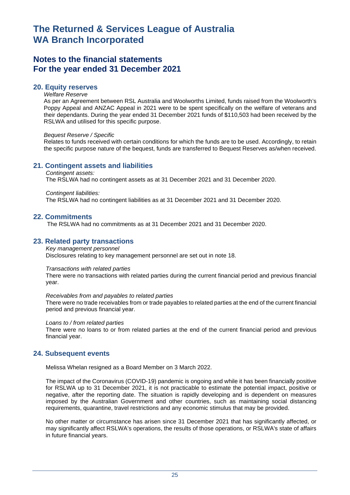## **Notes to the financial statements For the year ended 31 December 2021**

### **20. Equity reserves**

#### *Welfare Reserve*

As per an Agreement between RSL Australia and Woolworths Limited, funds raised from the Woolworth's Poppy Appeal and ANZAC Appeal in 2021 were to be spent specifically on the welfare of veterans and their dependants. During the year ended 31 December 2021 funds of \$110,503 had been received by the RSLWA and utilised for this specific purpose.

#### *Bequest Reserve / Specific*

Relates to funds received with certain conditions for which the funds are to be used. Accordingly, to retain the specific purpose nature of the bequest, funds are transferred to Bequest Reserves as/when received.

### **21. Contingent assets and liabilities**

#### *Contingent assets:*  The RSLWA had no contingent assets as at 31 December 2021 and 31 December 2020.

#### *Contingent liabilities:*

The RSLWA had no contingent liabilities as at 31 December 2021 and 31 December 2020.

#### **22. Commitments**

The RSLWA had no commitments as at 31 December 2021 and 31 December 2020.

### **23. Related party transactions**

#### *Key management personnel*

Disclosures relating to key management personnel are set out in note 18.

#### *Transactions with related parties*

There were no transactions with related parties during the current financial period and previous financial year.

#### *Receivables from and payables to related parties*

There were no trade receivables from or trade payables to related parties at the end of the current financial period and previous financial year.

#### *Loans to / from related parties*

There were no loans to or from related parties at the end of the current financial period and previous financial year.

### **24. Subsequent events**

Melissa Whelan resigned as a Board Member on 3 March 2022.

The impact of the Coronavirus (COVID-19) pandemic is ongoing and while it has been financially positive for RSLWA up to 31 December 2021, it is not practicable to estimate the potential impact, positive or negative, after the reporting date. The situation is rapidly developing and is dependent on measures imposed by the Australian Government and other countries, such as maintaining social distancing requirements, quarantine, travel restrictions and any economic stimulus that may be provided.

No other matter or circumstance has arisen since 31 December 2021 that has significantly affected, or may significantly affect RSLWA's operations, the results of those operations, or RSLWA's state of affairs in future financial years.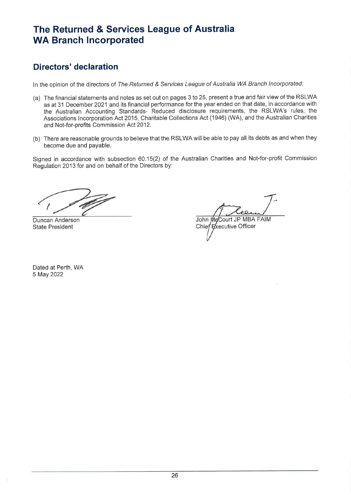# **Directors' declaration**

In the opinion of the directors of The Returned & Services League of Australia WA Branch Incorporated:

- (a) The financial statements and notes as set out on pages 3 to 25, present a true and fair view of the RSLWA as at 31 December 2021 and its financial performance for the year ended on that date, in accordance with the Australian Accounting Standards- Reduced disclosure requirements, the RSLWA's rules, the Associations Incorporation Act 2015, Charitable Collections Act (1946) (WA), and the Australian Charities and Not-for-profits Commission Act 2012.
- (b) There are reasonable grounds to believe that the RSLWA will be able to pay all its debts as and when they become due and payable.

Signed in accordance with subsection 60.15(2) of the Australian Charities and Not-for-profit Commission Regulation 2013 for and on behalf of the Directors by:

Duncan Anderson **State President** 

John McCourt JP MBA FAIM Chief Executive Officer

Dated at Perth, WA 5 May 2022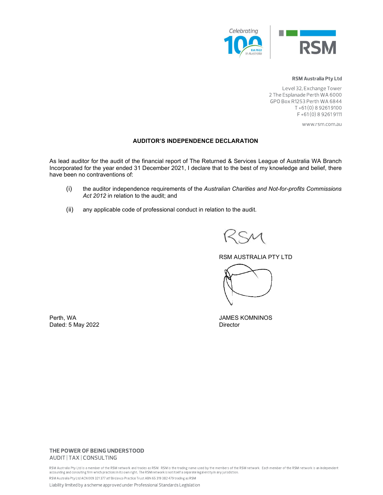

#### **RSM Australia Pty Ltd**

Level 32, Exchange Tower 2 The Esplanade Perth WA 6000 GPO Box R1253 Perth WA 6844  $T + 61(0) 8 92619100$ F+61(0) 8 9261 9111

www.rsm.com.au

#### AUDITOR'S INDEPENDENCE DECLARATION

As lead auditor for the audit of the financial report of The Returned & Services League of Australia WA Branch Incorporated for the year ended 31 December 2021, I declare that to the best of my knowledge and belief, there have been no contraventions of:

- (i) the auditor independence requirements of the Australian Charities and Not-for-profits Commissions Act 2012 in relation to the audit; and
- (ii) any applicable code of professional conduct in relation to the audit.

RSM AUSTRALIA PTY LTD

Perth, WA JAMES KOMNINOS Dated: 5 May 2022 Director

#### THE POWER OF BEING UNDERSTOOD AUDIT | TAX | CONSULTING

RSM Australia Pty Ltd is a member of the RSM network and trades as RSM. RSM is the trading name used by the members of the RSM network. Each member of the RSM network is an independent<br>accounting and consulting firm which RSM Australia Pty Ltd ACN 009 321 377 atf Birdanco Practice Trust ABN 65 319 382 479 trading as RSM

Liability limited by a scheme approved under Professional Standards Legislation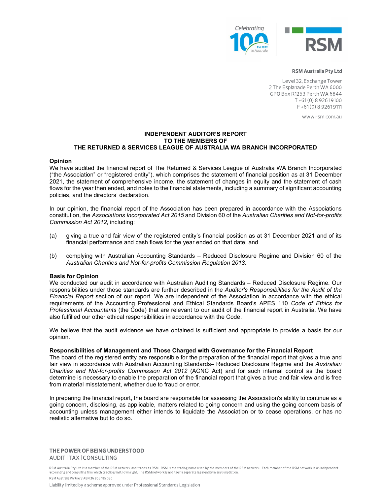

#### **RSM Australia Pty Ltd**

Level 32, Exchange Tower 2 The Esplanade Perth WA 6000 GPO Box R1253 Perth WA 6844  $T + 61(0) 8 92619100$ F+61(0) 8 9261 9111

www.rsm.com.au

#### INDEPENDENT AUDITOR'S REPORT TO THE MEMBERS OF THE RETURNED & SERVICES LEAGUE OF AUSTRALIA WA BRANCH INCORPORATED

#### Opinion

We have audited the financial report of The Returned & Services League of Australia WA Branch Incorporated ("the Association" or "registered entity"), which comprises the statement of financial position as at 31 December 2021, the statement of comprehensive income, the statement of changes in equity and the statement of cash flows for the year then ended, and notes to the financial statements, including a summary of significant accounting policies, and the directors' declaration.

In our opinion, the financial report of the Association has been prepared in accordance with the Associations constitution, the Associations Incorporated Act 2015 and Division 60 of the Australian Charities and Not-for-profits Commission Act 2012, including:

- (a) giving a true and fair view of the registered entity's financial position as at 31 December 2021 and of its financial performance and cash flows for the year ended on that date; and
- (b) complying with Australian Accounting Standards Reduced Disclosure Regime and Division 60 of the Australian Charities and Not-for-profits Commission Regulation 2013.

#### Basis for Opinion

We conducted our audit in accordance with Australian Auditing Standards – Reduced Disclosure Regime. Our responsibilities under those standards are further described in the Auditor's Responsibilities for the Audit of the Financial Report section of our report. We are independent of the Association in accordance with the ethical requirements of the Accounting Professional and Ethical Standards Board's APES 110 Code of Ethics for Professional Accountants (the Code) that are relevant to our audit of the financial report in Australia. We have also fulfilled our other ethical responsibilities in accordance with the Code.

We believe that the audit evidence we have obtained is sufficient and appropriate to provide a basis for our opinion.

#### Responsibilities of Management and Those Charged with Governance for the Financial Report

The board of the registered entity are responsible for the preparation of the financial report that gives a true and fair view in accordance with Australian Accounting Standards– Reduced Disclosure Regime and the Australian Charities and Not-for-profits Commission Act 2012 (ACNC Act) and for such internal control as the board determine is necessary to enable the preparation of the financial report that gives a true and fair view and is free from material misstatement, whether due to fraud or error.

In preparing the financial report, the board are responsible for assessing the Association's ability to continue as a going concern, disclosing, as applicable, matters related to going concern and using the going concern basis of accounting unless management either intends to liquidate the Association or to cease operations, or has no realistic alternative but to do so.

#### THE POWER OF BEING UNDERSTOOD AUDIT | TAX | CONSULTING

RSM Australia Pty Ltd is a member of the RSM network and trades as RSM. RSM is the trading name used by the members of the RSM network. Each member of the RSM network is an independent accounting and consulting firm which practices in its own right. The RSM network is not itself a separate legal entity in any jurisdiction. RSM Australia Partners ABN 36 965 185 036